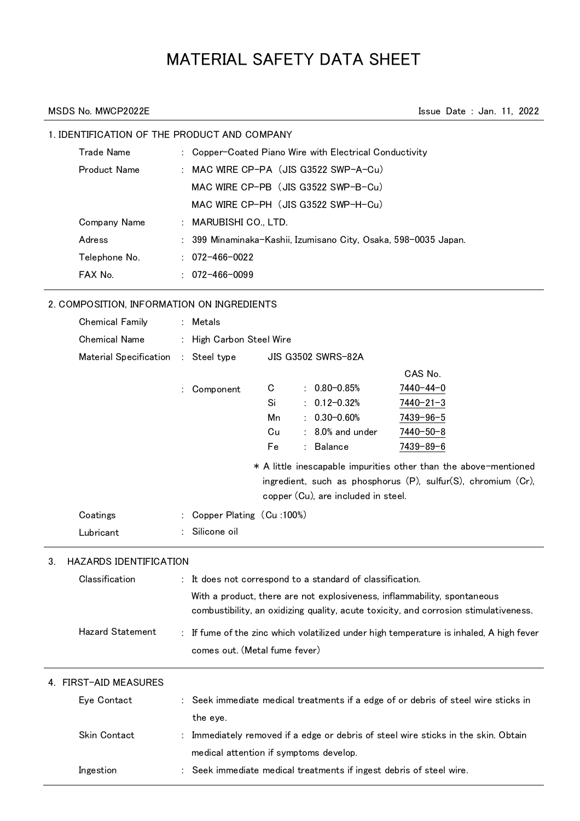# MATERIAL SAFETY DATA SHEET

MSDS No. MWCP2022E **Issue Date : Jan. 11, 2022** 

# 1. IDENTIFICATION OF THE PRODUCT AND COMPANY

| <b>Trade Name</b>   | : Copper-Coated Piano Wire with Electrical Conductivity         |
|---------------------|-----------------------------------------------------------------|
| <b>Product Name</b> | : MAC WIRE CP-PA (JIS G3522 SWP-A-Cu)                           |
|                     | MAC WIRE CP-PB (JIS G3522 SWP-B-Cu)                             |
|                     | MAC WIRE CP-PH (JIS G3522 SWP-H-Cu)                             |
| Company Name        | : MARUBISHI CO., LTD.                                           |
| Adress              | : 399 Minaminaka-Kashii, Izumisano City, Osaka, 598–0035 Japan. |
| Telephone No.       | $: 072 - 466 - 0022$                                            |
| FAX No.             | $: 072 - 466 - 0099$                                            |

# 2. COMPOSITION, INFORMATION ON INGREDIENTS

|    | <b>Chemical Family</b>        | Metals                                 |    |  |                                                           |                                                                                       |  |  |
|----|-------------------------------|----------------------------------------|----|--|-----------------------------------------------------------|---------------------------------------------------------------------------------------|--|--|
|    | <b>Chemical Name</b>          | High Carbon Steel Wire                 |    |  |                                                           |                                                                                       |  |  |
|    | <b>Material Specification</b> | : Steel type                           |    |  | <b>JIS G3502 SWRS-82A</b>                                 |                                                                                       |  |  |
|    |                               |                                        |    |  |                                                           | CAS No.                                                                               |  |  |
|    |                               | Component                              | C  |  | $: 0.80 - 0.85%$                                          | 7440-44-0                                                                             |  |  |
|    |                               |                                        | Si |  | $0.12 - 0.32%$                                            | 7440-21-3                                                                             |  |  |
|    |                               |                                        | Mn |  | $0.30 - 0.60%$                                            | 7439-96-5                                                                             |  |  |
|    |                               |                                        | Cu |  | : 8.0% and under                                          | 7440-50-8                                                                             |  |  |
|    |                               |                                        | Fe |  | <b>Balance</b>                                            | 7439-89-6                                                                             |  |  |
|    |                               |                                        |    |  |                                                           | * A little inescapable impurities other than the above-mentioned                      |  |  |
|    |                               |                                        |    |  |                                                           | ingredient, such as phosphorus (P), sulfur(S), chromium (Cr),                         |  |  |
|    |                               |                                        |    |  | copper (Cu), are included in steel.                       |                                                                                       |  |  |
|    | Coatings                      | Copper Plating (Cu:100%)               |    |  |                                                           |                                                                                       |  |  |
|    | Lubricant                     | Silicone oil                           |    |  |                                                           |                                                                                       |  |  |
| 3. | <b>HAZARDS IDENTIFICATION</b> |                                        |    |  |                                                           |                                                                                       |  |  |
|    | Classification                |                                        |    |  | : It does not correspond to a standard of classification. |                                                                                       |  |  |
|    |                               |                                        |    |  |                                                           | With a product, there are not explosiveness, inflammability, spontaneous              |  |  |
|    |                               |                                        |    |  |                                                           | combustibility, an oxidizing quality, acute toxicity, and corrosion stimulativeness.  |  |  |
|    | <b>Hazard Statement</b>       |                                        |    |  |                                                           | If fume of the zinc which volatilized under high temperature is inhaled, A high fever |  |  |
|    |                               | comes out. (Metal fume fever)          |    |  |                                                           |                                                                                       |  |  |
|    |                               |                                        |    |  |                                                           |                                                                                       |  |  |
|    | 4. FIRST-AID MEASURES         |                                        |    |  |                                                           |                                                                                       |  |  |
|    | Eye Contact                   |                                        |    |  |                                                           | Seek immediate medical treatments if a edge of or debris of steel wire sticks in      |  |  |
|    |                               | the eye.                               |    |  |                                                           |                                                                                       |  |  |
|    | <b>Skin Contact</b>           |                                        |    |  |                                                           | Immediately removed if a edge or debris of steel wire sticks in the skin. Obtain      |  |  |
|    |                               | medical attention if symptoms develop. |    |  |                                                           |                                                                                       |  |  |
|    |                               |                                        |    |  |                                                           |                                                                                       |  |  |
|    | Ingestion                     |                                        |    |  |                                                           | Seek immediate medical treatments if ingest debris of steel wire.                     |  |  |